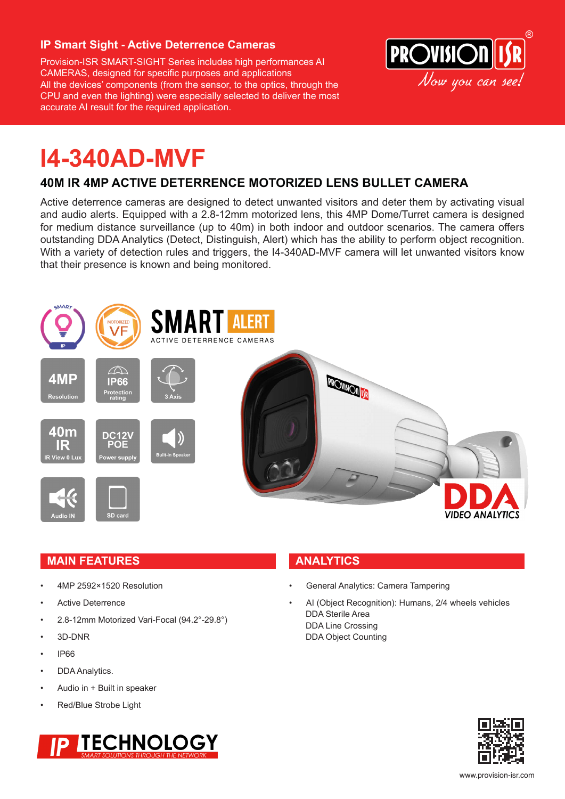#### **IP Smart Sight - Active Deterrence Cameras**

Provision-ISR SMART-SIGHT Series includes high performances AI CAMERAS, designed for specific purposes and applications All the devices' components (from the sensor, to the optics, through the CPU and even the lighting) were especially selected to deliver the most accurate AI result for the required application.



## **I4-340AD-MVF**

### **40M IR 4MP ACTIVE DETERRENCE MOTORIZED LENS BULLET CAMERA**

Active deterrence cameras are designed to detect unwanted visitors and deter them by activating visual and audio alerts. Equipped with a 2.8-12mm motorized lens, this 4MP Dome/Turret camera is designed for medium distance surveillance (up to 40m) in both indoor and outdoor scenarios. The camera offers outstanding DDA Analytics (Detect, Distinguish, Alert) which has the ability to perform object recognition. With a variety of detection rules and triggers, the I4-340AD-MVF camera will let unwanted visitors know that their presence is known and being monitored.



#### **MAIN FEATURES ANALYTICS**

- 4MP 2592×1520 Resolution
- Active Deterrence
- 2.8-12mm Motorized Vari-Focal (94.2°-29.8°)
- 3D-DNR
- IP66
- DDA Analytics.
- Audio in + Built in speaker
- Red/Blue Strobe Light

# **TECHNOLOGY**

- General Analytics: Camera Tampering
- AI (Object Recognition): Humans, 2/4 wheels vehicles DDA Sterile Area DDA Line Crossing DDA Object Counting

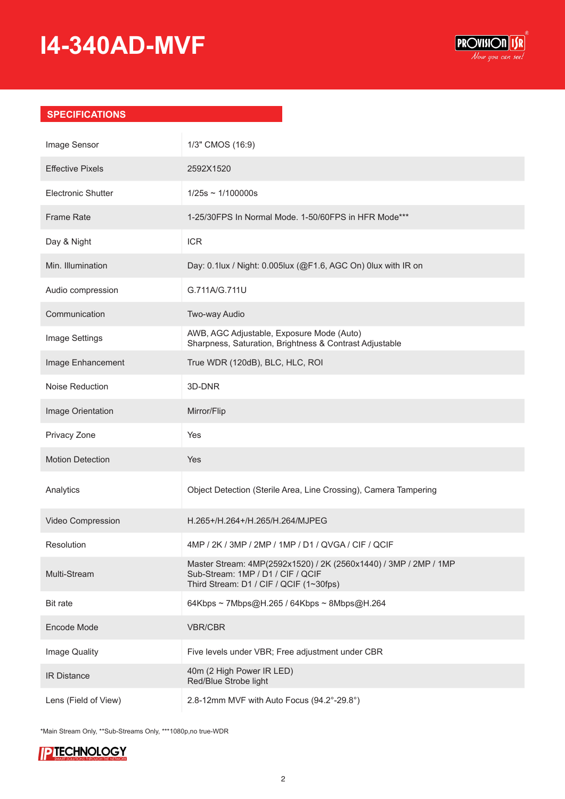### **I4-340AD-MVF**



#### **SPECIFICATIONS**

| Image Sensor              | 1/3" CMOS (16:9)                                                                                                                                 |
|---------------------------|--------------------------------------------------------------------------------------------------------------------------------------------------|
| <b>Effective Pixels</b>   | 2592X1520                                                                                                                                        |
| <b>Electronic Shutter</b> | $1/25s \sim 1/100000s$                                                                                                                           |
| <b>Frame Rate</b>         | 1-25/30FPS In Normal Mode. 1-50/60FPS in HFR Mode***                                                                                             |
| Day & Night               | <b>ICR</b>                                                                                                                                       |
| Min. Illumination         | Day: 0.1lux / Night: 0.005lux (@F1.6, AGC On) 0lux with IR on                                                                                    |
| Audio compression         | G.711A/G.711U                                                                                                                                    |
| Communication             | Two-way Audio                                                                                                                                    |
| Image Settings            | AWB, AGC Adjustable, Exposure Mode (Auto)<br>Sharpness, Saturation, Brightness & Contrast Adjustable                                             |
| Image Enhancement         | True WDR (120dB), BLC, HLC, ROI                                                                                                                  |
| Noise Reduction           | 3D-DNR                                                                                                                                           |
| Image Orientation         | Mirror/Flip                                                                                                                                      |
| Privacy Zone              | Yes                                                                                                                                              |
| <b>Motion Detection</b>   | Yes                                                                                                                                              |
| Analytics                 | Object Detection (Sterile Area, Line Crossing), Camera Tampering                                                                                 |
| Video Compression         | H.265+/H.264+/H.265/H.264/MJPEG                                                                                                                  |
| Resolution                | 4MP / 2K / 3MP / 2MP / 1MP / D1 / QVGA / CIF / QCIF                                                                                              |
| Multi-Stream              | Master Stream: 4MP(2592x1520) / 2K (2560x1440) / 3MP / 2MP / 1MP<br>Sub-Stream: 1MP / D1 / CIF / QCIF<br>Third Stream: D1 / CIF / QCIF (1~30fps) |
| <b>Bit rate</b>           | 64Kbps ~ 7Mbps@H.265 / 64Kbps ~ 8Mbps@H.264                                                                                                      |
| Encode Mode               | <b>VBR/CBR</b>                                                                                                                                   |
| Image Quality             | Five levels under VBR; Free adjustment under CBR                                                                                                 |
| <b>IR Distance</b>        | 40m (2 High Power IR LED)<br>Red/Blue Strobe light                                                                                               |
| Lens (Field of View)      | 2.8-12mm MVF with Auto Focus (94.2°-29.8°)                                                                                                       |

\*Main Stream Only, \*\*Sub-Streams Only, \*\*\*1080p,no true-WDR

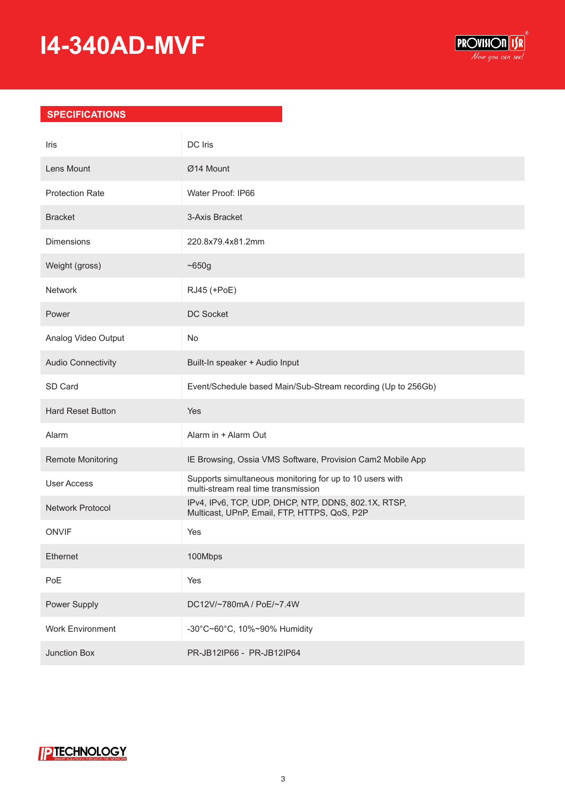## **I4-340AD-MVF**



#### **SPECIFICATIONS**

| Iris                      | <b>DC</b> Iris                                                                                       |
|---------------------------|------------------------------------------------------------------------------------------------------|
| Lens Mount                | Ø14 Mount                                                                                            |
| <b>Protection Rate</b>    | Water Proof: IP66                                                                                    |
| <b>Bracket</b>            | 3-Axis Bracket                                                                                       |
| <b>Dimensions</b>         | 220.8x79.4x81.2mm                                                                                    |
| Weight (gross)            | ~1650g                                                                                               |
| Network                   | RJ45 (+PoE)                                                                                          |
| Power                     | DC Socket                                                                                            |
| Analog Video Output       | No                                                                                                   |
| <b>Audio Connectivity</b> | Built-In speaker + Audio Input                                                                       |
| SD Card                   | Event/Schedule based Main/Sub-Stream recording (Up to 256Gb)                                         |
| <b>Hard Reset Button</b>  | Yes                                                                                                  |
| Alarm                     | Alarm in + Alarm Out                                                                                 |
| Remote Monitoring         | IE Browsing, Ossia VMS Software, Provision Cam2 Mobile App                                           |
| <b>User Access</b>        | Supports simultaneous monitoring for up to 10 users with<br>multi-stream real time transmission      |
| Network Protocol          | IPv4, IPv6, TCP, UDP, DHCP, NTP, DDNS, 802.1X, RTSP,<br>Multicast, UPnP, Email, FTP, HTTPS, QoS, P2P |
| <b>ONVIF</b>              | Yes                                                                                                  |
| Ethernet                  | 100Mbps                                                                                              |
| PoE                       | Yes                                                                                                  |
| Power Supply              | DC12V/~780mA / PoE/~7.4W                                                                             |
| <b>Work Environment</b>   | -30°C~60°C, 10%~90% Humidity                                                                         |
| Junction Box              | PR-JB12lP66 - PR-JB12lP64                                                                            |